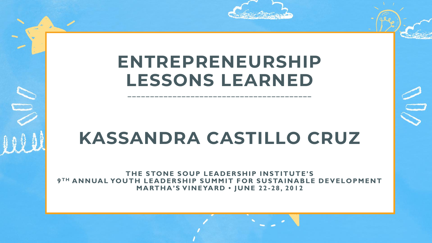

# **ENTREPRENEURSHIP LESSONS LEARNED**

**\_\_\_\_\_\_\_\_\_\_\_\_\_\_\_\_\_\_\_\_\_\_\_\_\_\_\_\_\_\_\_\_\_\_\_\_\_\_\_\_\_**

# **KASSANDRA CASTILLO CRUZ**

**THE STONE SOUP LEADERSHIP INSTITUTE'S 9 TH ANNUAL YOUTH LEADERSHIP SUMMIT FOR SUSTAINABLE DEVELOPMENT MARTHA'S VIN EYARD • JUN E 22 - 28, 2012**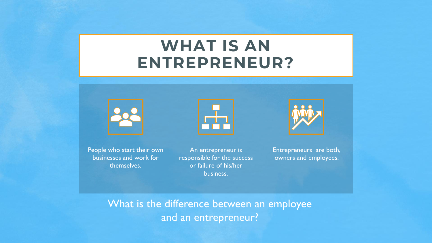### **WHAT IS AN ENTREPRENEUR?**





An entrepreneur is responsible for the success or failure of his/her business.

r۶



Entrepreneurs are both, owners and employees.

What is the difference between an employee and an entrepreneur?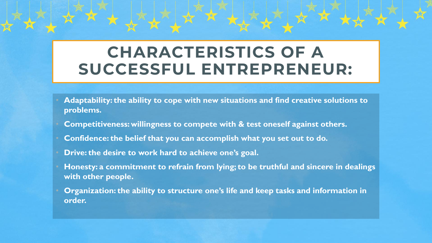### **CHARACTERISTICS OF A SUCCESSFUL ENTREPRENEUR:**

- **Adaptability: the ability to cope with new situations and find creative solutions to problems.**
- **Competitiveness: willingness to compete with & test oneself against others.**
- **Confidence: the belief that you can accomplish what you set out to do.**
- **Drive: the desire to work hard to achieve one's goal.**
- **Honesty: a commitment to refrain from lying; to be truthful and sincere in dealings with other people.**
- **Organization: the ability to structure one's life and keep tasks and information in order.**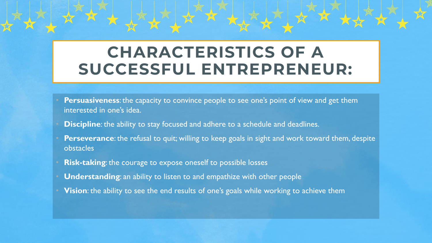### **CHARACTERISTICS OF A SUCCESSFUL ENTREPRENEUR:**

- **Persuasiveness:** the capacity to convince people to see one's point of view and get them interested in one's idea.
- **Discipline**: the ability to stay focused and adhere to a schedule and deadlines.
- **Perseverance**: the refusal to quit; willing to keep goals in sight and work toward them, despite obstacles
- **Risk-taking:** the courage to expose oneself to possible losses
- **Understanding:** an ability to listen to and empathize with other people
- **Vision**: the ability to see the end results of one's goals while working to achieve them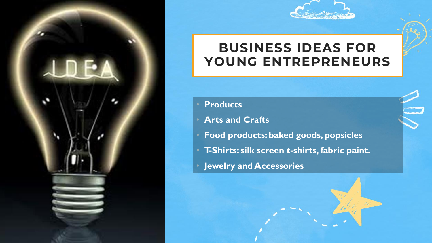



### **BUSINESS IDEAS FOR YOUNG ENTREPRENEURS**

#### • **Products**

- **Arts and Crafts**
- **Food products: baked goods, popsicles**
- **T-Shirts: silk screen t-shirts, fabric paint.**
- **Jewelry and Accessories**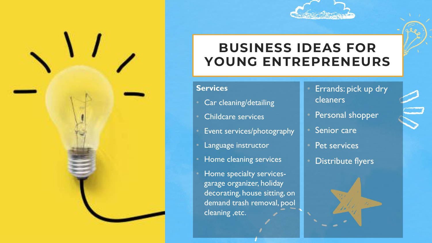

### **BUSINESS IDEAS FOR YOUNG ENTREPRENEURS**

#### **Services**

- Car cleaning/detailing
- Childcare services
- Event services/photography
- Language instructor
- Home cleaning services
- Home specialty servicesgarage organizer, holiday decorating, house sitting, on demand trash removal, pool cleaning ,etc.
- Errands: pick up dry cleaners
- Personal shopper
- Senior care
- Pet services
- Distribute flyers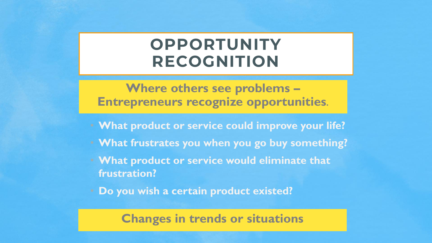### **OPPORTUNITY RECOGNITION**

**Where others see problems – Entrepreneurs recognize opportunities.**

- **What product or service could improve your life?**
- **What frustrates you when you go buy something?**
- **What product or service would eliminate that frustration?**
- **Do you wish a certain product existed?**

#### **Changes in trends or situations**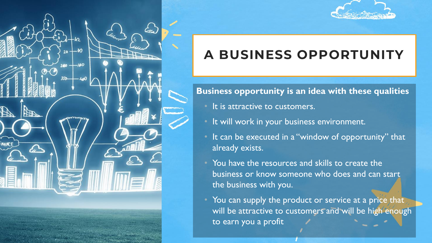



### **A BUSINESS OPPORTUNITY**

#### **Business opportunity is an idea with these qualities**

- It is attractive to customers.
- It will work in your business environment.
- It can be executed in a "window of opportunity" that already exists.
- You have the resources and skills to create the business or know someone who does and can start the business with you.
- You can supply the product or service at a price that will be attractive to customers and will be high enough to earn you a profit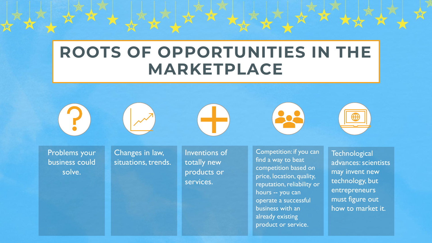### **ROOTS OF OPPORTUNITIES IN THE MARKETPLACE**



Changes in law, situations, trends.

Inventions of totally new products or services.

Competition: if you can find a way to beat competition based on price, location, quality, reputation, reliability or hours -- you can operate a successful business with an already existing product or service.

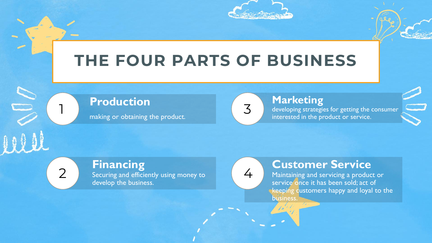

## **THE FOUR PARTS OF BUSINESS**

#### **Production**

1

2

making or obtaining the product.

#### **Marketing**

developing strategies for getting the consumer interested in the product or service.

**Financing** Securing and efficiently using money to develop the business.

4

3

#### **Customer Service**

Maintaining and servicing a product or service once it has been sold; act of keeping customers happy and loyal to the business.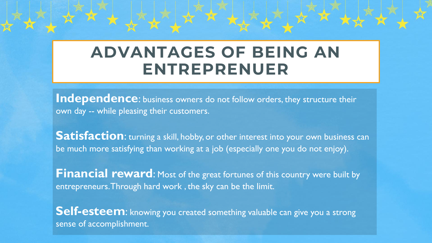### **ADVANTAGES OF BEING AN ENTREPRENUER**

**Independence:** business owners do not follow orders, they structure their own day -- while pleasing their customers.

**Satisfaction:** turning a skill, hobby, or other interest into your own business can be much more satisfying than working at a job (especially one you do not enjoy).

**Financial reward:** Most of the great fortunes of this country were built by entrepreneurs. Through hard work , the sky can be the limit.

**Self-esteem**: knowing you created something valuable can give you a strong sense of accomplishment.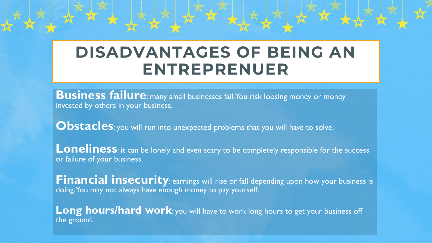### **DISADVANTAGES OF BEING AN ENTREPRENUER**

**Business failure**: many small businesses fail. You risk loosing money or money invested by others in your business.

**Obstacles**: you will run into unexpected problems that you will have to solve.

**Loneliness**: it can be lonely and even scary to be completely responsible for the success or failure of your business.

**Financial insecurity**: earnings will rise or fall depending upon how your business is doing. You may not always have enough money to pay yourself.

Long hours/hard work: you will have to work long hours to get your business off the ground.